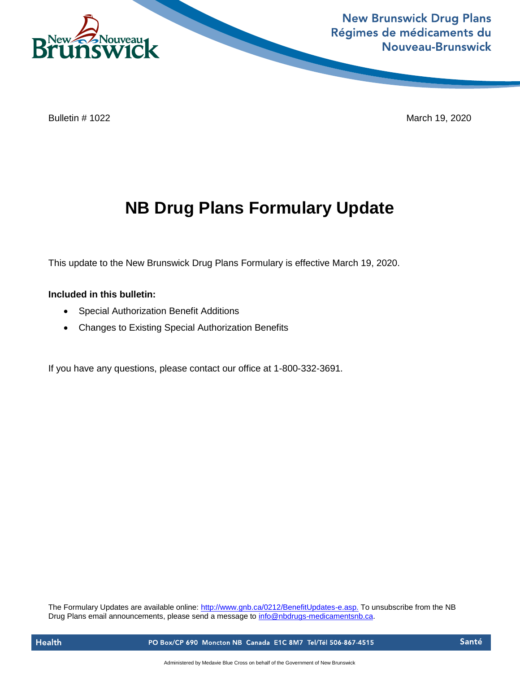

**New Brunswick Drug Plans** Régimes de médicaments du **Nouveau-Brunswick** 

Bulletin # 1022 March 19, 2020

## **NB Drug Plans Formulary Update**

This update to the New Brunswick Drug Plans Formulary is effective March 19, 2020.

## **Included in this bulletin:**

- Special Authorization Benefit Additions
- Changes to Existing Special Authorization Benefits

If you have any questions, please contact our office at 1-800-332-3691.

The Formulary Updates are available online[: http://www.gnb.ca/0212/BenefitUpdates-e.asp.](http://www.gnb.ca/0212/BenefitUpdates-e.asp) To unsubscribe from the NB Drug Plans email announcements, please send a message to [info@nbdrugs-medicamentsnb.ca.](mailto:info@nbdrugs-medicamentsnb.ca)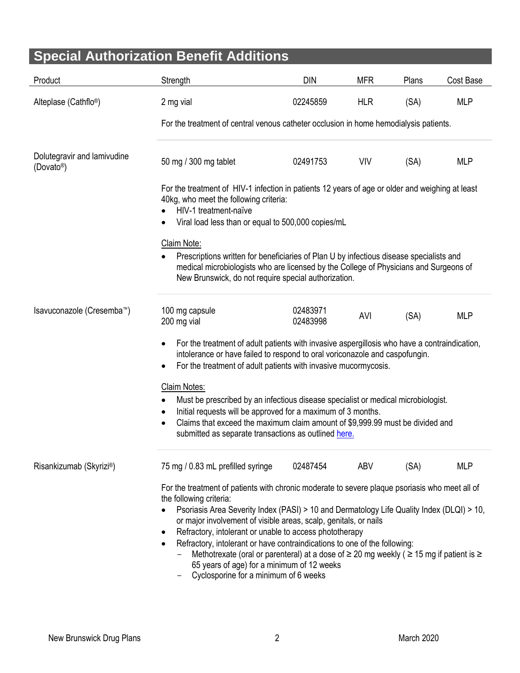| <b>Special Authorization Benefit Additions</b>        |                                                                                                                                                                                                                                                                                                                                                                                                                                                                                                                                                                                                                                                               |                      |            |       |            |  |  |  |
|-------------------------------------------------------|---------------------------------------------------------------------------------------------------------------------------------------------------------------------------------------------------------------------------------------------------------------------------------------------------------------------------------------------------------------------------------------------------------------------------------------------------------------------------------------------------------------------------------------------------------------------------------------------------------------------------------------------------------------|----------------------|------------|-------|------------|--|--|--|
|                                                       |                                                                                                                                                                                                                                                                                                                                                                                                                                                                                                                                                                                                                                                               |                      |            |       |            |  |  |  |
| Product                                               | Strength                                                                                                                                                                                                                                                                                                                                                                                                                                                                                                                                                                                                                                                      | <b>DIN</b>           | <b>MFR</b> | Plans | Cost Base  |  |  |  |
| Alteplase (Cathflo <sup>®</sup> )                     | 2 mg vial                                                                                                                                                                                                                                                                                                                                                                                                                                                                                                                                                                                                                                                     | 02245859             | <b>HLR</b> | (SA)  | <b>MLP</b> |  |  |  |
|                                                       | For the treatment of central venous catheter occlusion in home hemodialysis patients.                                                                                                                                                                                                                                                                                                                                                                                                                                                                                                                                                                         |                      |            |       |            |  |  |  |
| Dolutegravir and lamivudine<br>(Dovato <sup>®</sup> ) | 50 mg / 300 mg tablet                                                                                                                                                                                                                                                                                                                                                                                                                                                                                                                                                                                                                                         | 02491753             | <b>VIV</b> | (SA)  | <b>MLP</b> |  |  |  |
|                                                       | For the treatment of HIV-1 infection in patients 12 years of age or older and weighing at least<br>40kg, who meet the following criteria:<br>HIV-1 treatment-naïve<br>Viral load less than or equal to 500,000 copies/mL                                                                                                                                                                                                                                                                                                                                                                                                                                      |                      |            |       |            |  |  |  |
|                                                       | Claim Note:<br>Prescriptions written for beneficiaries of Plan U by infectious disease specialists and<br>medical microbiologists who are licensed by the College of Physicians and Surgeons of<br>New Brunswick, do not require special authorization.                                                                                                                                                                                                                                                                                                                                                                                                       |                      |            |       |            |  |  |  |
| Isavuconazole (Cresemba™)                             | 100 mg capsule<br>200 mg vial                                                                                                                                                                                                                                                                                                                                                                                                                                                                                                                                                                                                                                 | 02483971<br>02483998 | AVI        | (SA)  | <b>MLP</b> |  |  |  |
|                                                       | For the treatment of adult patients with invasive aspergillosis who have a contraindication,<br>$\bullet$<br>intolerance or have failed to respond to oral voriconazole and caspofungin.<br>For the treatment of adult patients with invasive mucormycosis.<br>٠                                                                                                                                                                                                                                                                                                                                                                                              |                      |            |       |            |  |  |  |
|                                                       | Claim Notes:<br>Must be prescribed by an infectious disease specialist or medical microbiologist.<br>Initial requests will be approved for a maximum of 3 months.<br>Claims that exceed the maximum claim amount of \$9,999.99 must be divided and<br>submitted as separate transactions as outlined here.                                                                                                                                                                                                                                                                                                                                                    |                      |            |       |            |  |  |  |
| Risankizumab (Skyrizi®)                               | 75 mg / 0.83 mL prefilled syringe                                                                                                                                                                                                                                                                                                                                                                                                                                                                                                                                                                                                                             | 02487454             | ABV        | (SA)  | <b>MLP</b> |  |  |  |
|                                                       | For the treatment of patients with chronic moderate to severe plaque psoriasis who meet all of<br>the following criteria:<br>Psoriasis Area Severity Index (PASI) > 10 and Dermatology Life Quality Index (DLQI) > 10,<br>or major involvement of visible areas, scalp, genitals, or nails<br>Refractory, intolerant or unable to access phototherapy<br>$\bullet$<br>Refractory, intolerant or have contraindications to one of the following:<br>$\bullet$<br>Methotrexate (oral or parenteral) at a dose of $\geq$ 20 mg weekly ( $\geq$ 15 mg if patient is $\geq$<br>65 years of age) for a minimum of 12 weeks<br>Cyclosnoring for a minimum of 6 weeks |                      |            |       |            |  |  |  |

- Cyclosporine for a minimum of 6 weeks